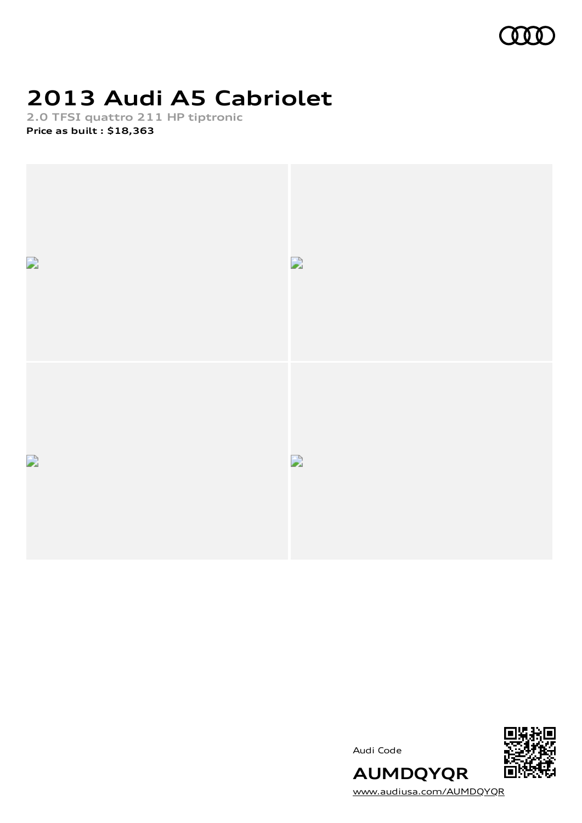

# **2013 Audi A5 Cabriolet**

**2.0 TFSI quattro 211 HP tiptronic Price as built [:](#page-10-0) \$18,363**



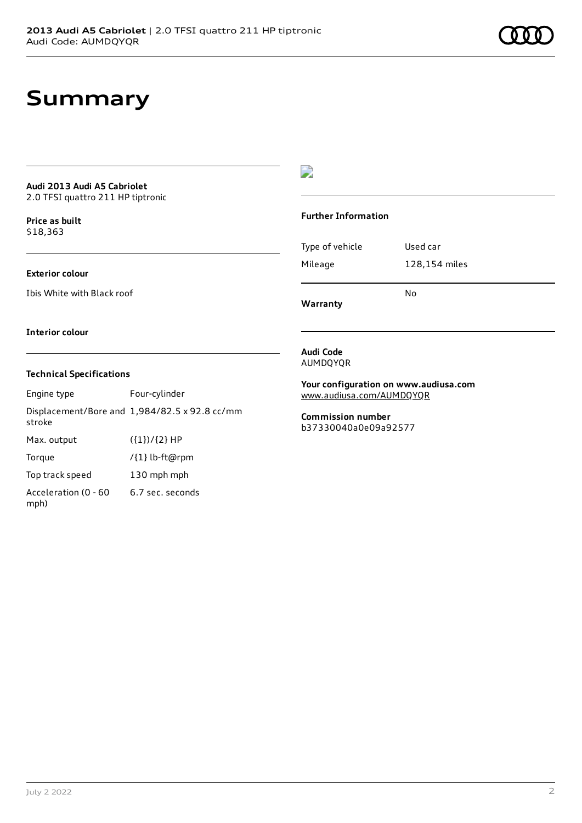### **Summary**

#### **Audi 2013 Audi A5 Cabriolet** 2.0 TFSI quattro 211 HP tiptronic

**Price as buil[t](#page-10-0)**

\$18,363

### **Exterior colour**

Ibis White with Black roof

### D

### **Further Information**

|                 | No            |
|-----------------|---------------|
| Mileage         | 128,154 miles |
| Type of vehicle | Used car      |

**Warranty**

#### **Interior colour**

### **Technical Specifications**

Engine type Four-cylinder Displacement/Bore and 1,984/82.5 x 92.8 cc/mm stroke Max. output  $({1})/{2}$  HP Torque /{1} lb-ft@rpm Top track speed 130 mph mph Acceleration (0 - 60 mph) 6.7 sec. seconds

**Audi Code** AUMDQYQR

**Your configuration on www.audiusa.com** [www.audiusa.com/AUMDQYQR](https://www.audiusa.com/AUMDQYQR)

**Commission number** b37330040a0e09a92577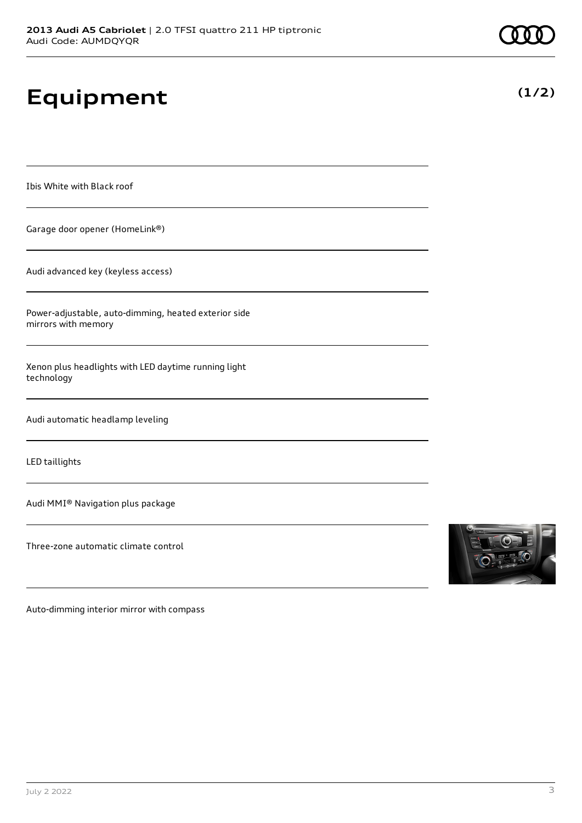# **Equipment**

Ibis White with Black roof

Garage door opener (HomeLink®)

Audi advanced key (keyless access)

Power-adjustable, auto-dimming, heated exterior side mirrors with memory

Xenon plus headlights with LED daytime running light technology

Audi automatic headlamp leveling

LED taillights

Audi MMI® Navigation plus package

Three-zone automatic climate control



Auto-dimming interior mirror with compass

|--|--|--|--|--|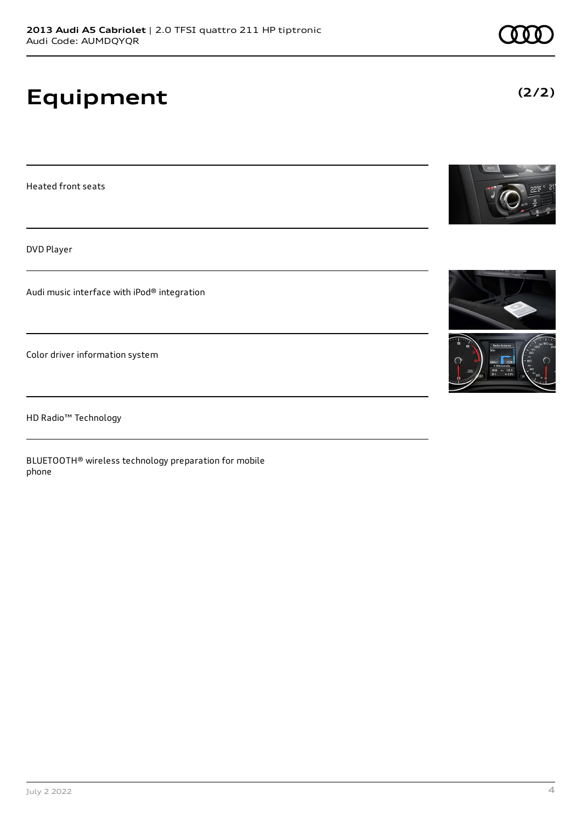# **Equipment**

Heated front seats

DVD Player

Audi music interface with iPod® integration

Color driver information system

HD Radio™ Technology

BLUETOOTH® wireless technology preparation for mobile phone





**(2/2)**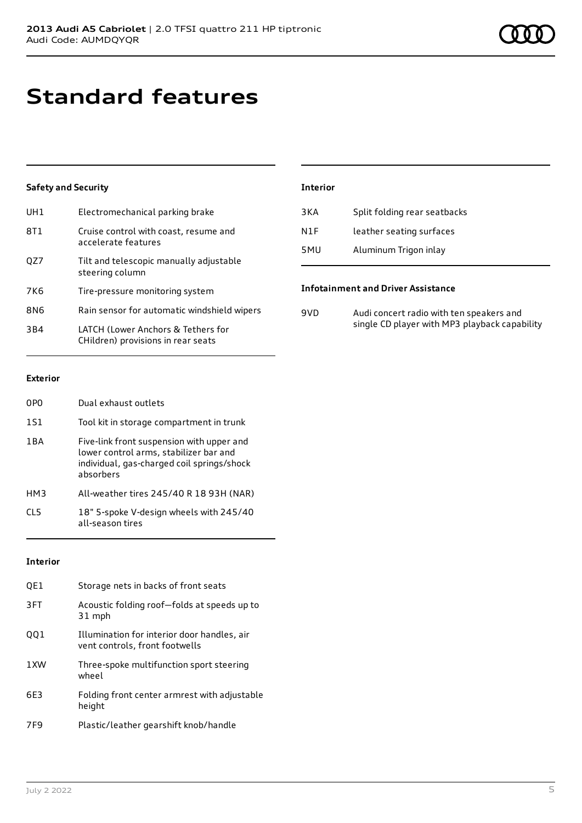### **Standard features**

### **Safety and Security**

| UH1             | Electromechanical parking brake                                          |
|-----------------|--------------------------------------------------------------------------|
| 8T1             | Cruise control with coast, resume and<br>accelerate features             |
| OZ7             | Tilt and telescopic manually adjustable<br>steering column               |
| 7K6             | Tire-pressure monitoring system                                          |
| 8N6             | Rain sensor for automatic windshield wipers                              |
| 3 <sub>B4</sub> | LATCH (Lower Anchors & Tethers for<br>CHildren) provisions in rear seats |

| <b>Interior</b> |                              |
|-----------------|------------------------------|
| 3 K A           | Split folding rear seatbacks |
| N1F             | leather seating surfaces     |
| 5MU             | Aluminum Trigon inlay        |

#### **Infotainment and Driver Assistance**

| 9VD. | Audi concert radio with ten speakers and      |
|------|-----------------------------------------------|
|      | single CD player with MP3 playback capability |

#### **Exterior**

| 0PO        | Dual exhaust outlets                                                                                                                           |
|------------|------------------------------------------------------------------------------------------------------------------------------------------------|
| 1S1        | Tool kit in storage compartment in trunk                                                                                                       |
| 1 B A      | Five-link front suspension with upper and<br>lower control arms, stabilizer bar and<br>individual, gas-charged coil springs/shock<br>absorbers |
| HM3        | All-weather tires 245/40 R 18 93H (NAR)                                                                                                        |
| <b>CL5</b> | 18" 5-spoke V-design wheels with 245/40<br>all-season tires                                                                                    |

### **Interior**

| OE1  | Storage nets in backs of front seats                                          |
|------|-------------------------------------------------------------------------------|
| 3FT  | Acoustic folding roof-folds at speeds up to<br>31 mph                         |
| 001  | Illumination for interior door handles, air<br>vent controls, front footwells |
| 1 XW | Three-spoke multifunction sport steering<br>wheel                             |
| 6F3  | Folding front center armrest with adjustable<br>height                        |
| 7F9  | Plastic/leather gearshift knob/handle                                         |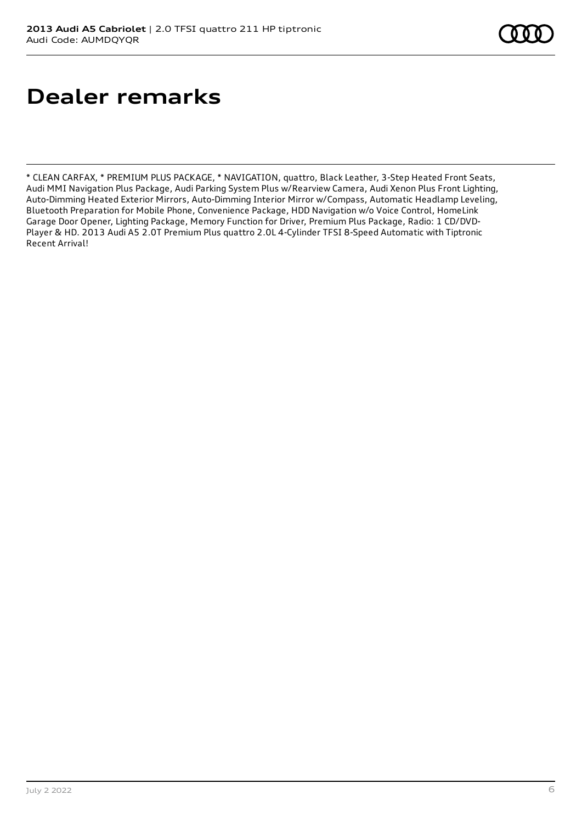### **Dealer remarks**

\* CLEAN CARFAX, \* PREMIUM PLUS PACKAGE, \* NAVIGATION, quattro, Black Leather, 3-Step Heated Front Seats, Audi MMI Navigation Plus Package, Audi Parking System Plus w/Rearview Camera, Audi Xenon Plus Front Lighting, Auto-Dimming Heated Exterior Mirrors, Auto-Dimming Interior Mirror w/Compass, Automatic Headlamp Leveling, Bluetooth Preparation for Mobile Phone, Convenience Package, HDD Navigation w/o Voice Control, HomeLink Garage Door Opener, Lighting Package, Memory Function for Driver, Premium Plus Package, Radio: 1 CD/DVD-Player & HD. 2013 Audi A5 2.0T Premium Plus quattro 2.0L 4-Cylinder TFSI 8-Speed Automatic with Tiptronic Recent Arrival!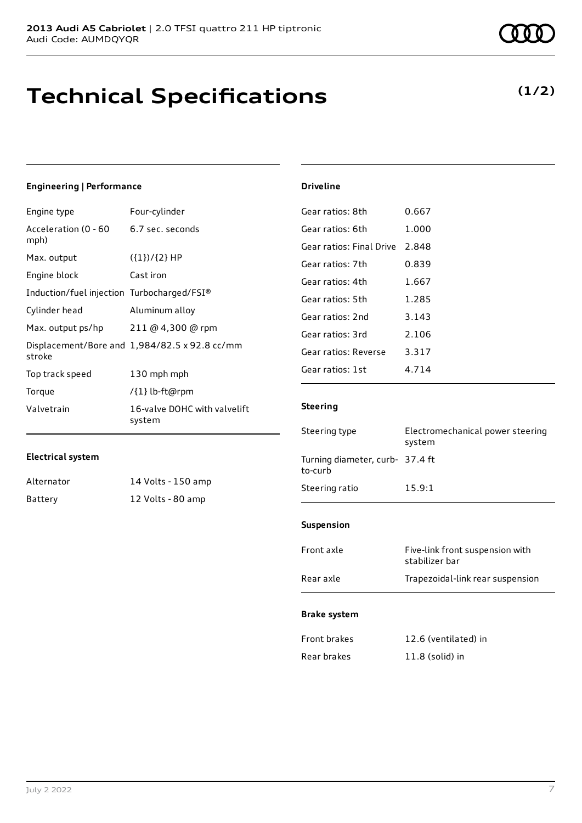# **Technical Specifications**

### **(1/2)**

### **Engineering | Performance**

| Engine type                                | Four-cylinder                                 |
|--------------------------------------------|-----------------------------------------------|
| Acceleration (0 - 60<br>mph)               | 6.7 sec. seconds                              |
| Max. output                                | $({1})/{2}$ HP                                |
| Engine block                               | Cast iron                                     |
| Induction/fuel injection Turbocharged/FSI® |                                               |
| Cylinder head                              | Aluminum alloy                                |
| Max. output ps/hp                          | 211 @ 4,300 @ rpm                             |
| stroke                                     | Displacement/Bore and 1,984/82.5 x 92.8 cc/mm |
| Top track speed                            | 130 mph mph                                   |
| Torque                                     | /{1} lb-ft@rpm                                |
| Valvetrain                                 | 16-valve DOHC with valvelift<br>system        |

### **Electrical system**

| Alternator | 14 Volts - 150 amp |
|------------|--------------------|
| Battery    | 12 Volts - 80 amp  |

| Gear ratios: 8th         | 0.667   |
|--------------------------|---------|
| Gear ratios: 6th         | 1.000   |
| Gear ratios: Final Drive | 2.848   |
| Gear ratios: 7th         | 0.839   |
| Gear ratios: 4th         | 1.667   |
| Gear ratios: 5th         | 1.285   |
| Gear ratios: 2nd         | 3.143   |
| Gear ratios: 3rd         | 2.106   |
| Gear ratios: Reverse     | 3.317   |
| Gear ratios: 1st         | 4 7 1 4 |
|                          |         |

### **Steering**

**Driveline**

| Steering type                              | Electromechanical power steering<br>system        |
|--------------------------------------------|---------------------------------------------------|
| Turning diameter, curb- 37.4 ft<br>to-curb |                                                   |
| Steering ratio                             | 15.9:1                                            |
| <b>Suspension</b>                          |                                                   |
| Front axle                                 | Five-link front suspension with<br>stabilizer bar |
| Rear axle                                  | Trapezoidal-link rear suspension                  |
| <b>Brake system</b>                        |                                                   |

| Front brakes | 12.6 (ventilated) in |
|--------------|----------------------|
| Rear brakes  | $11.8$ (solid) in    |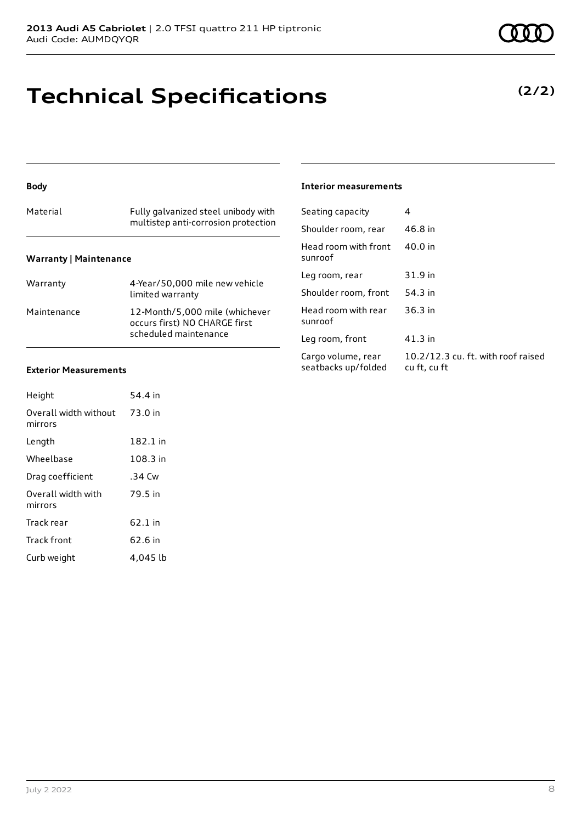# **Technical Specifications**

### **Body**

### Material Fully galvanized steel unibody with multistep anti-corrosion protection **Warranty | Maintenance**

| Warranty    | 4-Year/50,000 mile new vehicle<br>limited warranty                                       |
|-------------|------------------------------------------------------------------------------------------|
| Maintenance | 12-Month/5,000 mile (whichever<br>occurs first) NO CHARGE first<br>scheduled maintenance |

### **Exterior Measurements**

| Height                           | 54.4 in  |
|----------------------------------|----------|
| Overall width without<br>mirrors | 73.0 in  |
| Length                           | 182.1 in |
| Wheelbase                        | 108.3 in |
| Drag coefficient                 | $.34$ Cw |
| Overall width with<br>mirrors    | 79.5 in  |
| Track rear                       | 62.1 in  |
| Track front                      | 62.6 in  |
| Curb weight                      | 4.045 lb |

#### **Interior measurements**

| Seating capacity                          | 4                                                  |
|-------------------------------------------|----------------------------------------------------|
| Shoulder room, rear                       | 46.8 in                                            |
| Head room with front<br>sunroof           | 40.0 in                                            |
| Leg room, rear                            | 31.9 in                                            |
| Shoulder room, front                      | 54.3 in                                            |
| Head room with rear<br>sunroof            | 36.3 in                                            |
| Leg room, front                           | 41.3 in                                            |
| Cargo volume, rear<br>seatbacks up/folded | 10.2/12.3 cu. ft. with roof raised<br>cu ft, cu ft |
|                                           |                                                    |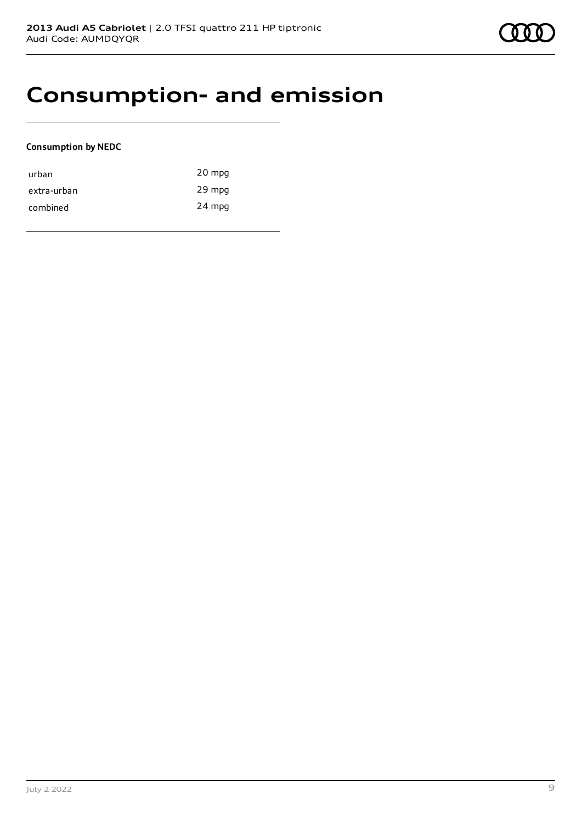### **Consumption- and emission**

### **Consumption by NEDC**

| urban       | 20 mpg |
|-------------|--------|
| extra-urban | 29 mpg |
| combined    | 24 mpg |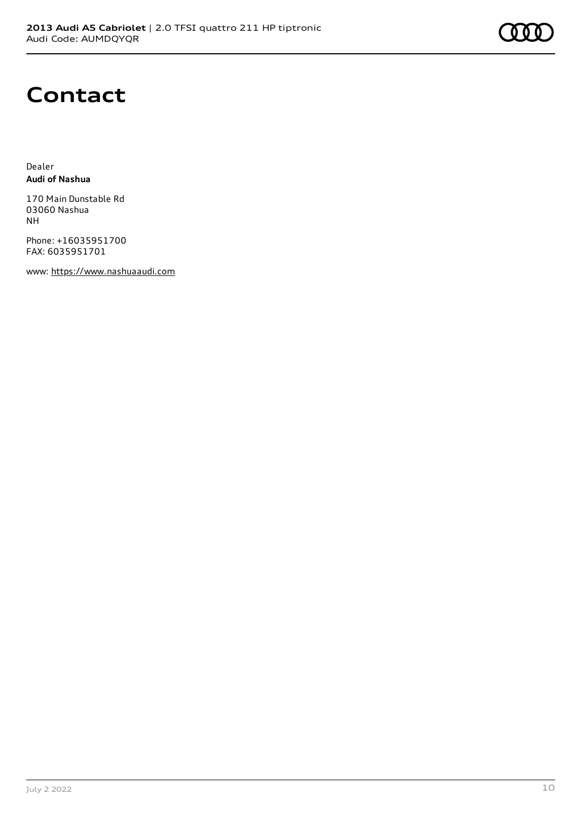## **Contact**

Dealer **Audi of Nashua**

170 Main Dunstable Rd 03060 Nashua NH

Phone: +16035951700 FAX: 6035951701

www: [https://www.nashuaaudi.com](https://www.nashuaaudi.com/)